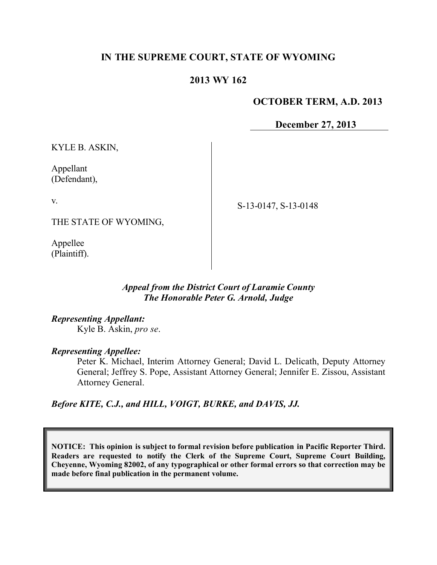# **IN THE SUPREME COURT, STATE OF WYOMING**

## **2013 WY 162**

#### **OCTOBER TERM, A.D. 2013**

**December 27, 2013**

KYLE B. ASKIN,

Appellant (Defendant),

v.

THE STATE OF WYOMING,

Appellee (Plaintiff). S-13-0147, S-13-0148

*Appeal from the District Court of Laramie County The Honorable Peter G. Arnold, Judge*

*Representing Appellant:*

Kyle B. Askin, *pro se*.

*Representing Appellee:*

Peter K. Michael, Interim Attorney General; David L. Delicath, Deputy Attorney General; Jeffrey S. Pope, Assistant Attorney General; Jennifer E. Zissou, Assistant Attorney General.

*Before KITE, C.J., and HILL, VOIGT, BURKE, and DAVIS, JJ.*

**NOTICE: This opinion is subject to formal revision before publication in Pacific Reporter Third. Readers are requested to notify the Clerk of the Supreme Court, Supreme Court Building, Cheyenne, Wyoming 82002, of any typographical or other formal errors so that correction may be made before final publication in the permanent volume.**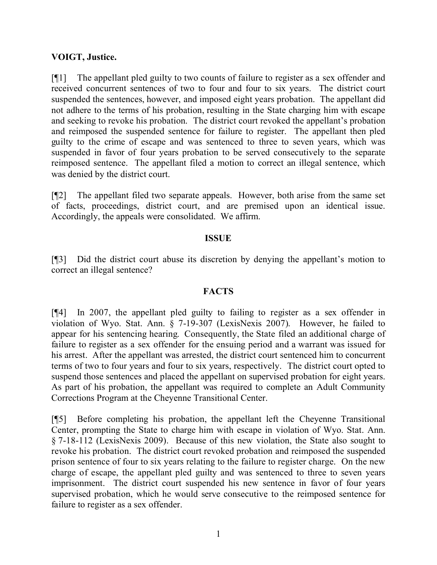## **VOIGT, Justice.**

[¶1] The appellant pled guilty to two counts of failure to register as a sex offender and received concurrent sentences of two to four and four to six years. The district court suspended the sentences, however, and imposed eight years probation. The appellant did not adhere to the terms of his probation, resulting in the State charging him with escape and seeking to revoke his probation. The district court revoked the appellant's probation and reimposed the suspended sentence for failure to register. The appellant then pled guilty to the crime of escape and was sentenced to three to seven years, which was suspended in favor of four years probation to be served consecutively to the separate reimposed sentence. The appellant filed a motion to correct an illegal sentence, which was denied by the district court.

[¶2] The appellant filed two separate appeals. However, both arise from the same set of facts, proceedings, district court, and are premised upon an identical issue. Accordingly, the appeals were consolidated. We affirm.

## **ISSUE**

[¶3] Did the district court abuse its discretion by denying the appellant's motion to correct an illegal sentence?

#### **FACTS**

[¶4] In 2007, the appellant pled guilty to failing to register as a sex offender in violation of Wyo. Stat. Ann. § 7-19-307 (LexisNexis 2007). However, he failed to appear for his sentencing hearing. Consequently, the State filed an additional charge of failure to register as a sex offender for the ensuing period and a warrant was issued for his arrest. After the appellant was arrested, the district court sentenced him to concurrent terms of two to four years and four to six years, respectively. The district court opted to suspend those sentences and placed the appellant on supervised probation for eight years. As part of his probation, the appellant was required to complete an Adult Community Corrections Program at the Cheyenne Transitional Center.

[¶5] Before completing his probation, the appellant left the Cheyenne Transitional Center, prompting the State to charge him with escape in violation of Wyo. Stat. Ann. § 7-18-112 (LexisNexis 2009). Because of this new violation, the State also sought to revoke his probation. The district court revoked probation and reimposed the suspended prison sentence of four to six years relating to the failure to register charge. On the new charge of escape, the appellant pled guilty and was sentenced to three to seven years imprisonment. The district court suspended his new sentence in favor of four years supervised probation, which he would serve consecutive to the reimposed sentence for failure to register as a sex offender.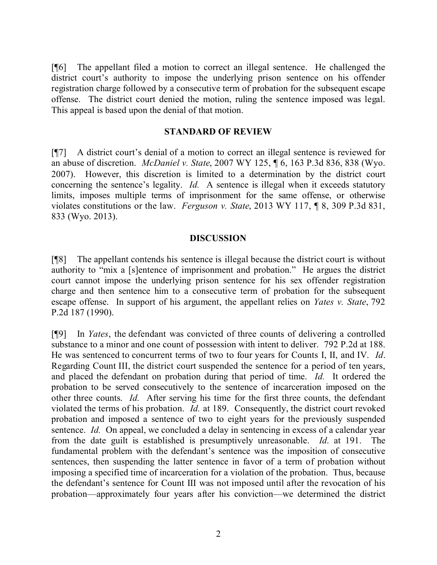[¶6] The appellant filed a motion to correct an illegal sentence. He challenged the district court's authority to impose the underlying prison sentence on his offender registration charge followed by a consecutive term of probation for the subsequent escape offense. The district court denied the motion, ruling the sentence imposed was legal. This appeal is based upon the denial of that motion.

#### **STANDARD OF REVIEW**

[¶7] A district court's denial of a motion to correct an illegal sentence is reviewed for an abuse of discretion. *McDaniel v. State*, 2007 WY 125, ¶ 6, 163 P.3d 836, 838 (Wyo. 2007). However, this discretion is limited to a determination by the district court concerning the sentence's legality. *Id.* A sentence is illegal when it exceeds statutory limits, imposes multiple terms of imprisonment for the same offense, or otherwise violates constitutions or the law. *Ferguson v. State*, 2013 WY 117, ¶ 8, 309 P.3d 831, 833 (Wyo. 2013).

## **DISCUSSION**

[¶8] The appellant contends his sentence is illegal because the district court is without authority to "mix a [s]entence of imprisonment and probation." He argues the district court cannot impose the underlying prison sentence for his sex offender registration charge and then sentence him to a consecutive term of probation for the subsequent escape offense. In support of his argument, the appellant relies on *Yates v. State*, 792 P.2d 187 (1990).

[¶9] In *Yates*, the defendant was convicted of three counts of delivering a controlled substance to a minor and one count of possession with intent to deliver. 792 P.2d at 188. He was sentenced to concurrent terms of two to four years for Counts I, II, and IV. *Id*. Regarding Count III, the district court suspended the sentence for a period of ten years, and placed the defendant on probation during that period of time. *Id.* It ordered the probation to be served consecutively to the sentence of incarceration imposed on the other three counts. *Id.* After serving his time for the first three counts, the defendant violated the terms of his probation. *Id.* at 189. Consequently, the district court revoked probation and imposed a sentence of two to eight years for the previously suspended sentence. *Id.* On appeal, we concluded a delay in sentencing in excess of a calendar year from the date guilt is established is presumptively unreasonable. *Id*. at 191. The fundamental problem with the defendant's sentence was the imposition of consecutive sentences, then suspending the latter sentence in favor of a term of probation without imposing a specified time of incarceration for a violation of the probation. Thus, because the defendant's sentence for Count III was not imposed until after the revocation of his probation—approximately four years after his conviction—we determined the district